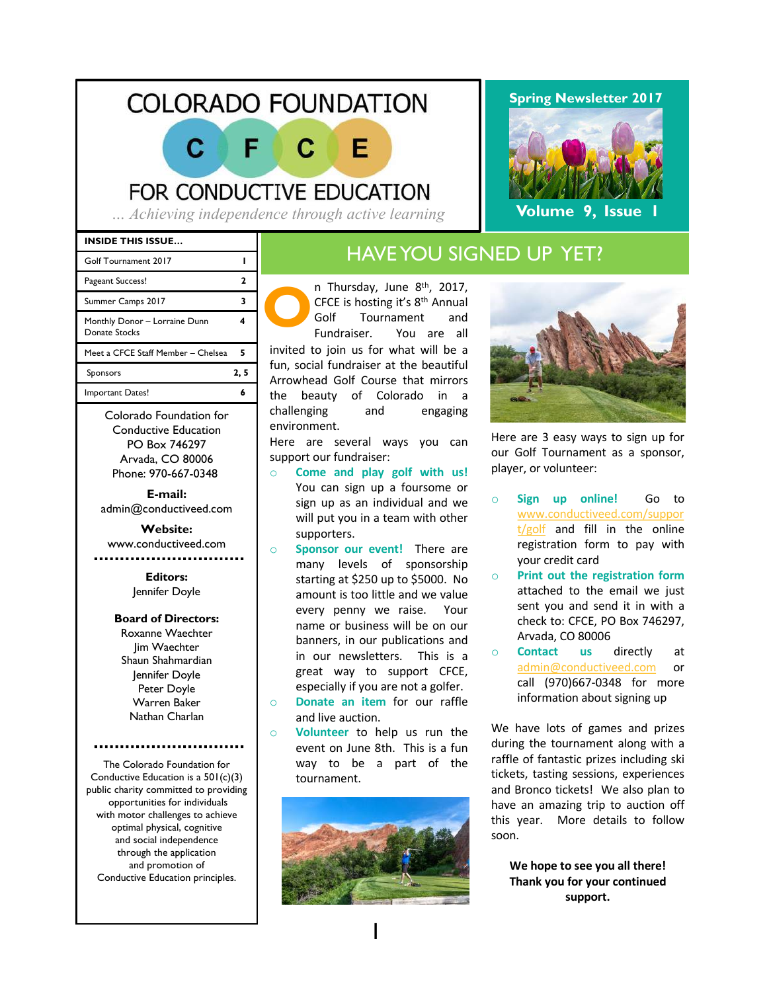# **COLORADO FOUNDATION**

# FOR CONDUCTIVE EDUCATION

*… Achieving independence through active learning*

#### **INSIDE THIS ISSUE…**

| Golf Tournament 2017                           |      |
|------------------------------------------------|------|
| Pageant Success!                               |      |
| Summer Camps 2017                              |      |
| Monthly Donor - Lorraine Dunn<br>Donate Stocks |      |
| Meet a CFCE Staff Member - Chelsea             | 5    |
| Sponsors                                       | 2, 5 |
| Important Dates!                               |      |
|                                                |      |

Colorado Foundation for Conductive Education PO Box 746297 Arvada, CO 80006 Phone: 970-667-0348

**E-mail:** admin@conductiveed.com

## **Website:**

www.conductiveed.com

#### **Editors:** Jennifer Doyle

#### **Board of Directors:**

Roxanne Waechter Jim Waechter Shaun Shahmardian Jennifer Doyle Peter Doyle Warren Baker Nathan Charlan

The Colorado Foundation for Conductive Education is a 501(c)(3) public charity committed to providing opportunities for individuals with motor challenges to achieve optimal physical, cognitive and social independence through the application and promotion of Conductive Education principles.

## HAVE YOU SIGNED UP YET?

**O** n Thursday, June 8th, 2017, CFCE is hosting it's 8th Annual Golf Tournament and Fundraiser. You are all invited to join us for what will be a fun, social fundraiser at the beautiful Arrowhead Golf Course that mirrors the beauty of Colorado in a challenging and engaging environment.

F

Here are several ways you can support our fundraiser:

- o **Come and play golf with us!** You can sign up a foursome or sign up as an individual and we will put you in a team with other supporters.
- o **Sponsor our event!** There are many levels of sponsorship starting at \$250 up to \$5000. No amount is too little and we value every penny we raise. Your name or business will be on our banners, in our publications and in our newsletters. This is a great way to support CFCE, especially if you are not a golfer.
- o **Donate an item** for our raffle and live auction.
- o **Volunteer** to help us run the event on June 8th. This is a fun way to be a part of the tournament.



#### **Spring Newsletter 2017**



**Volume 9, Issue 1**

Here are 3 easy ways to sign up for our Golf Tournament as a sponsor, player, or volunteer:

- o **Sign up online!** Go to www.conductiveed.com/suppor t/golf and fill in the online registration form to pay with your credit card
- o **Print out the registration form** attached to the email we just sent you and send it in with a check to: CFCE, PO Box 746297, Arvada, CO 80006
- o **Contact us** directly at admin@conductiveed.com or call (970)667-0348 for more information about signing up

We have lots of games and prizes during the tournament along with a raffle of fantastic prizes including ski tickets, tasting sessions, experiences and Bronco tickets! We also plan to have an amazing trip to auction off this year. More details to follow soon.

We hope to see you all there! **Thank you for your continued support.**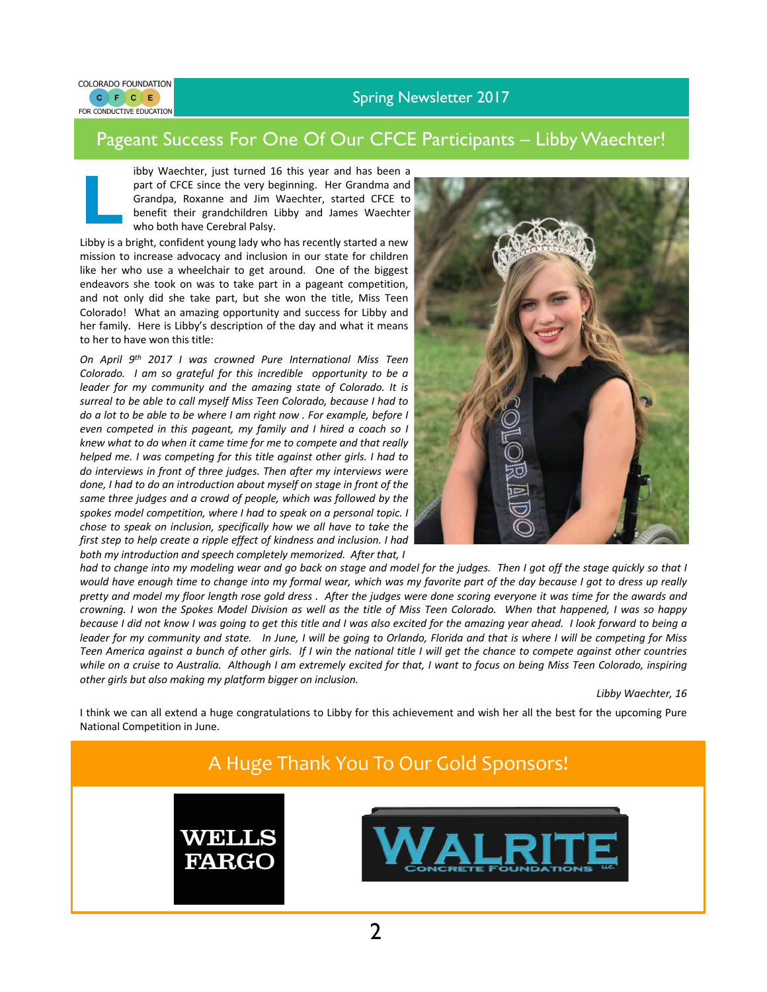#### Spring Newsletter 2017



#### Pageant Success For One Of Our CFCE Participants – Libby Waechter!

ibby Waechter, just turned 16 this year and has been a part of CFCE since the very beginning. Her Grandma and Grandpa, Roxanne and Jim Waechter, started CFCE to benefit their grandchildren Libby and James Waechter who both have Cerebral Palsy.

**L** Libby is a bright, confident young lady who has recently started a new mission to increase advocacy and inclusion in our state for children like her who use a wheelchair to get around. One of the biggest endeavors she took on was to take part in a pageant competition, and not only did she take part, but she won the title, Miss Teen Colorado! What an amazing opportunity and success for Libby and her family. Here is Libby's description of the day and what it means to her to have won this title:

*On April 9th 2017 I was crowned Pure International Miss Teen Colorado. I am so grateful for this incredible opportunity to be a leader for my community and the amazing state of Colorado. It is surreal to be able to call myself Miss Teen Colorado, because I had to do a lot to be able to be where I am right now . For example, before I even competed in this pageant, my family and I hired a coach so I knew what to do when it came time for me to compete and that really helped me. I was competing for this title against other girls. I had to do interviews in front of three judges. Then after my interviews were done, I had to do an introduction about myself on stage in front of the same three judges and a crowd of people, which was followed by the spokes model competition, where I had to speak on a personal topic. I chose to speak on inclusion, specifically how we all have to take the first step to help create a ripple effect of kindness and inclusion. I had both my introduction and speech completely memorized. After that, I*



had to change into my modeling wear and go back on stage and model for the judges. Then I got off the stage quickly so that I would have enough time to change into my formal wear, which was my favorite part of the day because I got to dress up really pretty and model my floor length rose gold dress. After the judges were done scoring everyone it was time for the awards and crowning. I won the Spokes Model Division as well as the title of Miss Teen Colorado. When that happened, I was so happy because I did not know I was going to get this title and I was also excited for the amazing year ahead. I look forward to being a leader for my community and state. In June, I will be going to Orlando, Florida and that is where I will be competing for Miss Teen America against a bunch of other girls. If I win the national title I will get the chance to compete against other countries while on a cruise to Australia. Although I am extremely excited for that, I want to focus on being Miss Teen Colorado, inspiring *other girls but also making my platform bigger on inclusion.*

Libby Waechter, 16

I think we can all extend a huge congratulations to Libby for this achievement and wish her all the best for the upcoming Pure National Competition in June.

## A Huge Thank You To Our Gold Sponsors!



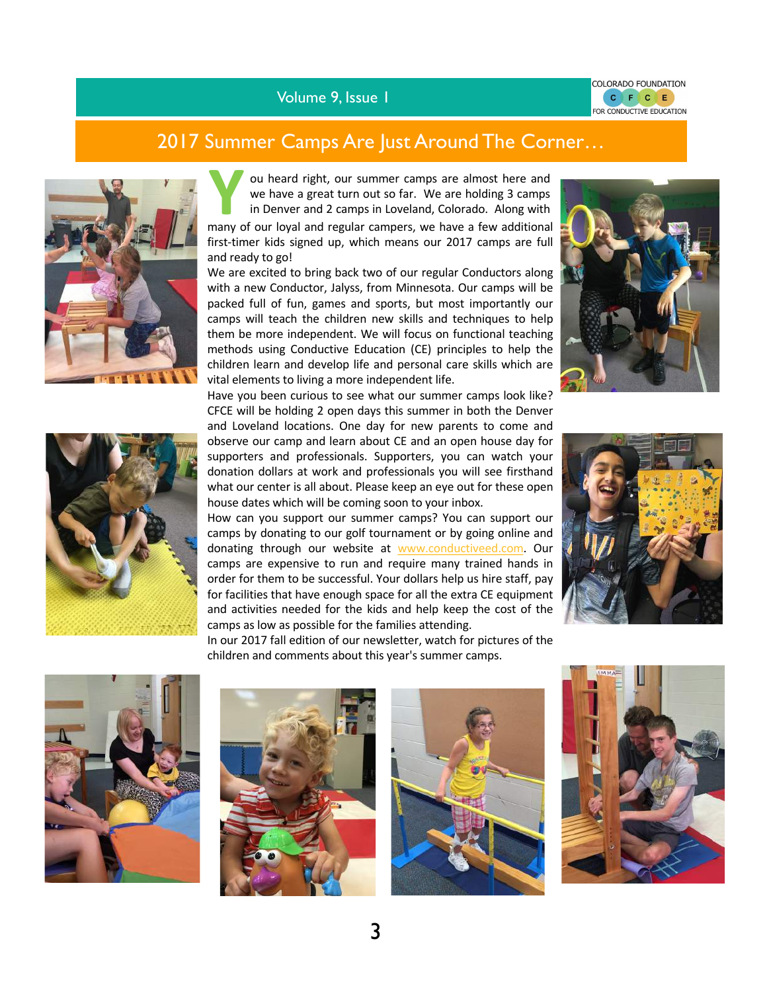Volume 9, Issue 1

# 2017 Summer Camps Are Just Around The Corner...





**Y** ou heard right, our summer camps are almost here and we have a great turn out so far. We are holding 3 camps in Denver and 2 camps in Loveland, Colorado. Along with

many of our loyal and regular campers, we have a few additional first-timer kids signed up, which means our 2017 camps are full and ready to go!

We are excited to bring back two of our regular Conductors along with a new Conductor, Jalyss, from Minnesota. Our camps will be packed full of fun, games and sports, but most importantly our camps will teach the children new skills and techniques to help them be more independent. We will focus on functional teaching methods using Conductive Education (CE) principles to help the children learn and develop life and personal care skills which are vital elements to living a more independent life.



Have you been curious to see what our summer camps look like? CFCE will be holding 2 open days this summer in both the Denver and Loveland locations. One day for new parents to come and observe our camp and learn about CE and an open house day for supporters and professionals. Supporters, you can watch your donation dollars at work and professionals you will see firsthand what our center is all about. Please keep an eye out for these open house dates which will be coming soon to your inbox.

How can you support our summer camps? You can support our camps by donating to our golf tournament or by going online and donating through our website at www.conductiveed.com. Our camps are expensive to run and require many trained hands in order for them to be successful. Your dollars help us hire staff, pay for facilities that have enough space for all the extra CE equipment and activities needed for the kids and help keep the cost of the camps as low as possible for the families attending.



In our 2017 fall edition of our newsletter, watch for pictures of the children and comments about this year's summer camps.







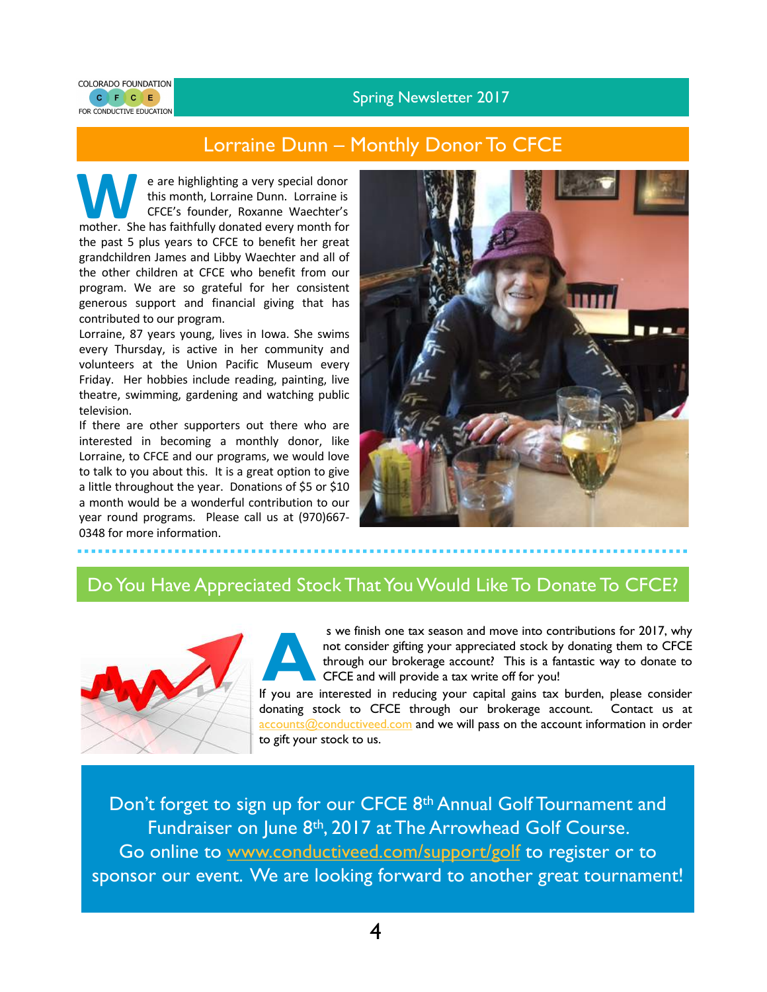Spring Newsletter 2017



#### Lorraine Dunn – Monthly Donor To CFCE

**WE are highlighting a very special donor**<br>this month, Lorraine Dunn. Lorraine is<br>CFCE's founder, Roxanne Waechter's<br>mother. She has faithfully donated every month for this month, Lorraine Dunn. Lorraine is CFCE's founder, Roxanne Waechter's the past 5 plus years to CFCE to benefit her great grandchildren James and Libby Waechter and all of the other children at CFCE who benefit from our program. We are so grateful for her consistent generous support and financial giving that has contributed to our program.

Lorraine, 87 years young, lives in Iowa. She swims every Thursday, is active in her community and volunteers at the Union Pacific Museum every Friday. Her hobbies include reading, painting, live theatre, swimming, gardening and watching public television.

If there are other supporters out there who are interested in becoming a monthly donor, like Lorraine, to CFCE and our programs, we would love to talk to you about this. It is a great option to give a little throughout the year. Donations of \$5 or \$10 a month would be a wonderful contribution to our year round programs. Please call us at (970)667- 0348 for more information.



#### Do You Have Appreciated Stock That You Would Like To Donate To CFCE?



If you are interested in reducing your capital gains tax burden, please consider<br>If you are interested in reducing your capital gains tax burden, please consider<br>If you are interested in reducing your capital gains tax bur s we finish one tax season and move into contributions for 2017, why not consider gifting your appreciated stock by donating them to CFCE through our brokerage account? This is a fantastic way to donate to CFCE and will provide a tax write off for you!

donating stock to CFCE through our brokerage account. Contact us at accounts@conductiveed.com and we will pass on the account information in order to gift your stock to us.

Don't forget to sign up for our CFCE 8<sup>th</sup> Annual Golf Tournament and Fundraiser on June 8<sup>th</sup>, 2017 at The Arrowhead Golf Course. Go online to www.conductiveed.com/support/golf to register or to sponsor our event. We are looking forward to another great tournament!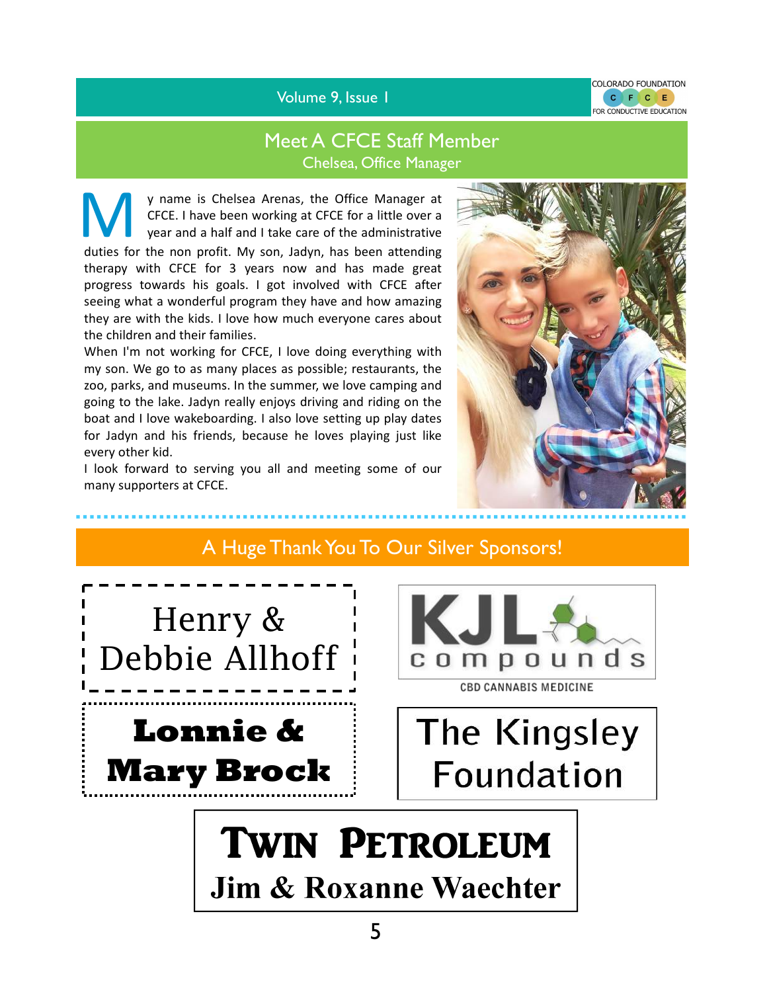Volume 9, Issue 1



### Meet A CFCE Staff Member Chelsea, Office Manager

y name is Chelsea Arenas, the Office Manager at CFCE. I have been working at CFCE for a little over a year and a half and I take care of the administrative

duties for the non profit. My son, Jadyn, has been attending therapy with CFCE for 3 years now and has made great progress towards his goals. I got involved with CFCE after seeing what a wonderful program they have and how amazing they are with the kids. I love how much everyone cares about the children and their families.

When I'm not working for CFCE, I love doing everything with my son. We go to as many places as possible; restaurants, the zoo, parks, and museums. In the summer, we love camping and going to the lake. Jadyn really enjoys driving and riding on the boat and I love wakeboarding. I also love setting up play dates for Jadyn and his friends, because he loves playing just like every other kid.

I look forward to serving you all and meeting some of our many supporters at CFCE.